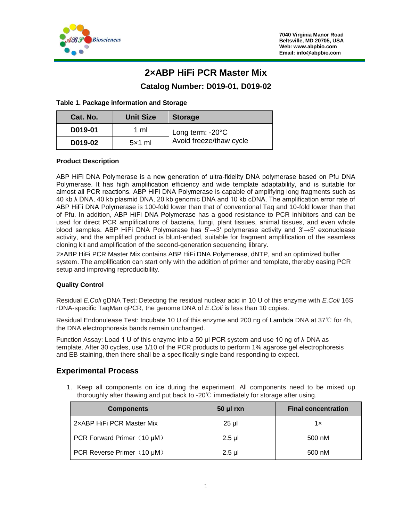

# **2×ABP HiFi PCR Master Mix**

# **Catalog Number: D019-01, D019-02**

### **Table 1. Package information and Storage**

| Cat. No. | <b>Unit Size</b> | <b>Storage</b>             |
|----------|------------------|----------------------------|
| D019-01  | 1 ml             | Long term: $-20^{\circ}$ C |
| D019-02  | $5\times1$ ml    | Avoid freeze/thaw cycle    |

### **Product Description**

ABP HiFi DNA Polymerase is a new generation of ultra-fidelity DNA polymerase based on Pfu DNA Polymerase. It has high amplification efficiency and wide template adaptability, and is suitable for almost all PCR reactions. ABP HiFi DNA Polymerase is capable of amplifying long fragments such as 40 kb λ DNA, 40 kb plasmid DNA, 20 kb genomic DNA and 10 kb cDNA. The amplification error rate of ABP HiFi DNA Polymerase is 100-fold lower than that of conventional Taq and 10-fold lower than that of Pfu. In addition, ABP HiFi DNA Polymerase has a good resistance to PCR inhibitors and can be used for direct PCR amplifications of bacteria, fungi, plant tissues, animal tissues, and even whole blood samples. ABP HiFi DNA Polymerase has 5'→3' polymerase activity and 3'→5' exonuclease activity, and the amplified product is blunt-ended, suitable for fragment amplification of the seamless cloning kit and amplification of the second-generation sequencing library.

2×ABP HiFi PCR Master Mix contains ABP HiFi DNA Polymerase, dNTP, and an optimized buffer system. The amplification can start only with the addition of primer and template, thereby easing PCR setup and improving reproducibility.

#### **Quality Control**

Residual *E.Coli* gDNA Test: Detecting the residual nuclear acid in 10 U of this enzyme with *E.Coli* 16S rDNA-specific TaqMan qPCR, the genome DNA of *E.Coli* is less than 10 copies.

Residual Endonulease Test: Incubate 10 U of this enzyme and 200 ng of Lambda DNA at 37℃ for 4h, the DNA electrophoresis bands remain unchanged.

Function Assay: Load 1 U of this enzyme into a 50 μl PCR system and use 10 ng of λ DNA as template. After 30 cycles, use 1/10 of the PCR products to perform 1% agarose gel electrophoresis and EB staining, then there shall be a specifically single band responding to expect.

# **Experimental Process**

1. Keep all components on ice during the experiment. All components need to be mixed up thoroughly after thawing and put back to -20℃ immediately for storage after using.

| <b>Components</b>          | $50$ µl rxn | <b>Final concentration</b> |
|----------------------------|-------------|----------------------------|
| 2xABP HiFi PCR Master Mix  | 25 µl       | 1x                         |
| PCR Forward Primer (10 µM) | $2.5$ µl    | 500 nM                     |
| PCR Reverse Primer (10 µM) | $2.5$ µl    | 500 nM                     |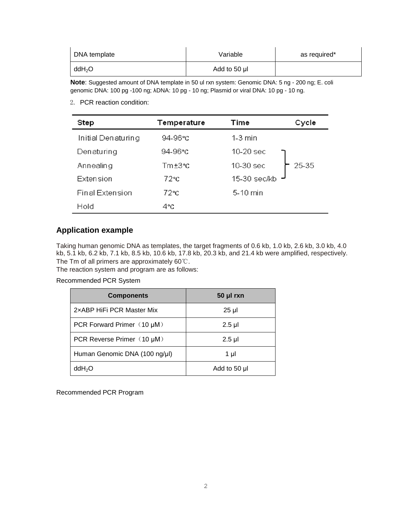| DNA template       | Variable     | as required* |
|--------------------|--------------|--------------|
| ddH <sub>2</sub> O | Add to 50 µl |              |

**Note**: Suggested amount of DNA template in 50 ul rxn system: Genomic DNA: 5 ng - 200 ng; E. coli genomic DNA: 100 pg -100 ng; λDNA: 10 pg - 10 ng; Plasmid or viral DNA: 10 pg - 10 ng.

2. PCR reaction condition:

| Step               | Temperature   | Cycle<br>Time      |
|--------------------|---------------|--------------------|
| Initial Denaturing | 94-96°C       | $1-3$ min          |
| Denaturing         | 94-96 $°C$    | 10-20 sec          |
| Annealing          | $Tm \pm 3$ °C | 10-30 sec<br>25-35 |
| <b>Extension</b>   | 72°С          | 15-30 sec/kb       |
| Final Extension    | $72^{\circ}c$ | 5-10 min           |
| Hold               | 4°C           |                    |

# **Application example**

Taking human genomic DNA as templates, the target fragments of 0.6 kb, 1.0 kb, 2.6 kb, 3.0 kb, 4.0 kb, 5.1 kb, 6.2 kb, 7.1 kb, 8.5 kb, 10.6 kb, 17.8 kb, 20.3 kb, and 21.4 kb were amplified, respectively. The Tm of all primers are approximately 60℃.

The reaction system and program are as follows:

## Recommended PCR System

| <b>Components</b>             | $50$ µl rxn  |
|-------------------------------|--------------|
| 2xABP HiFi PCR Master Mix     | $25 \mu$     |
| PCR Forward Primer (10 µM)    | $2.5$ µl     |
| PCR Reverse Primer (10 µM)    | $2.5$ µl     |
| Human Genomic DNA (100 ng/µl) | 1 µl         |
| ddH <sub>2</sub> O            | Add to 50 µl |

Recommended PCR Program